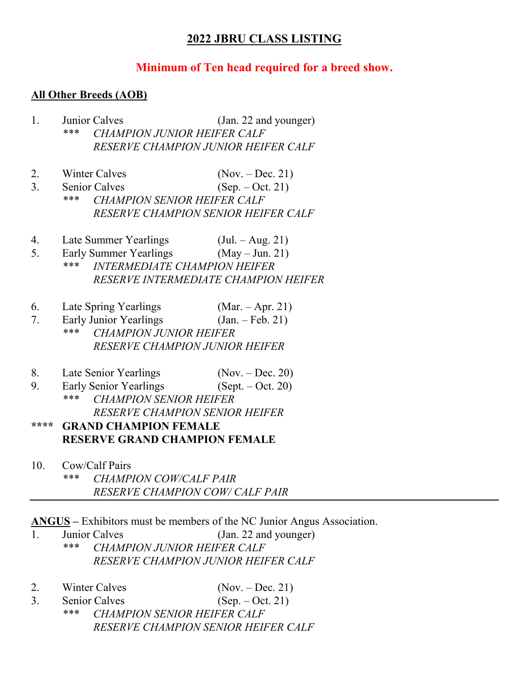## **2022 JBRU CLASS LISTING**

#### **Minimum of Ten head required for a breed show.**

#### **All Other Breeds (AOB)**

- 1. Junior Calves (Jan. 22 and younger) *\*\*\* CHAMPION JUNIOR HEIFER CALF RESERVE CHAMPION JUNIOR HEIFER CALF*
- 2. Winter Calves (Nov. Dec. 21)
- 3. Senior Calves (Sep. Oct. 21) *\*\*\* CHAMPION SENIOR HEIFER CALF RESERVE CHAMPION SENIOR HEIFER CALF*
- 4. Late Summer Yearlings (Jul. Aug. 21)
- 5. Early Summer Yearlings  $(May Jun. 21)$ <br>\*\*\* INTERMEDIATE CHAMPION HEIEER
- *\*\*\* INTERMEDIATE CHAMPION HEIFER RESERVE INTERMEDIATE CHAMPION HEIFER*
- 6. Late Spring Yearlings (Mar. Apr. 21)
- 7. Early Junior Yearlings (Jan. Feb. 21) *\*\*\* CHAMPION JUNIOR HEIFER RESERVE CHAMPION JUNIOR HEIFER*
- 8. Late Senior Yearlings (Nov. Dec. 20)<br>
9. Early Senior Yearlings (Sept. Oct. 20)
- 9. Early Senior Yearlings *\*\*\* CHAMPION SENIOR HEIFER RESERVE CHAMPION SENIOR HEIFER*

# **\*\*\*\* GRAND CHAMPION FEMALE RESERVE GRAND CHAMPION FEMALE**

10. Cow/Calf Pairs *\*\*\* CHAMPION COW/CALF PAIR RESERVE CHAMPION COW/ CALF PAIR*

**ANGUS –** Exhibitors must be members of the NC Junior Angus Association.

- 1. Junior Calves (Jan. 22 and younger) *\*\*\* CHAMPION JUNIOR HEIFER CALF RESERVE CHAMPION JUNIOR HEIFER CALF*
- 2. Winter Calves (Nov. Dec. 21)
- 3. Senior Calves (Sep. Oct. 21) *\*\*\* CHAMPION SENIOR HEIFER CALF RESERVE CHAMPION SENIOR HEIFER CALF*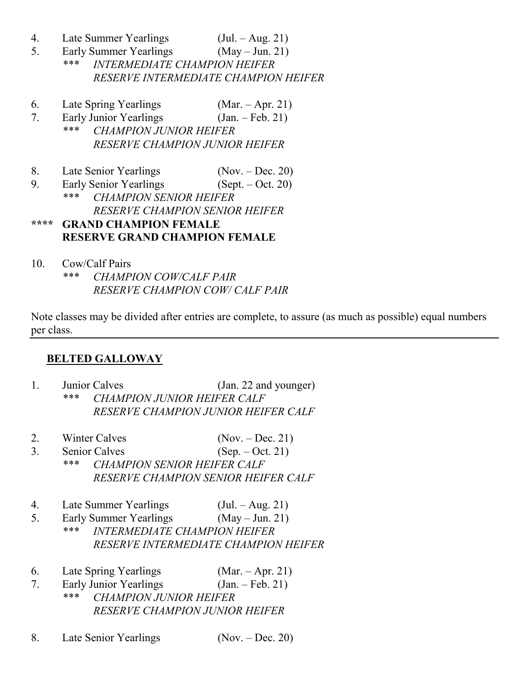- 4. Late Summer Yearlings (Jul. Aug. 21)
- 5. Early Summer Yearlings (May Jun. 21)<br>\*\*\* INTERMEDIATE CHAMPION HEIEEP
	- *\*\*\* INTERMEDIATE CHAMPION HEIFER RESERVE INTERMEDIATE CHAMPION HEIFER*
- 6. Late Spring Yearlings (Mar. Apr. 21)
- 7. Early Junior Yearlings (Jan. Feb. 21)<br>\*\*\* CHAMPION IUNIOR HEIEER *\*\*\* CHAMPION JUNIOR HEIFER RESERVE CHAMPION JUNIOR HEIFER*
- 8. Late Senior Yearlings (Nov. Dec. 20)

9. Early Senior Yearlings (Sept. – Oct. 20)<br>\*\*\* CHAMPION SENIOR HEIEER *\*\*\* CHAMPION SENIOR HEIFER RESERVE CHAMPION SENIOR HEIFER* **\*\*\*\* GRAND CHAMPION FEMALE**

**RESERVE GRAND CHAMPION FEMALE**

10. Cow/Calf Pairs *\*\*\* CHAMPION COW/CALF PAIR RESERVE CHAMPION COW/ CALF PAIR*

Note classes may be divided after entries are complete, to assure (as much as possible) equal numbers per class.

#### **BELTED GALLOWAY**

- 1. Junior Calves (Jan. 22 and younger) *\*\*\* CHAMPION JUNIOR HEIFER CALF RESERVE CHAMPION JUNIOR HEIFER CALF*
- 2. Winter Calves (Nov. Dec. 21)
- 3. Senior Calves (Sep. Oct. 21) *\*\*\* CHAMPION SENIOR HEIFER CALF RESERVE CHAMPION SENIOR HEIFER CALF*
- 4. Late Summer Yearlings (Jul. Aug. 21)
- 5. Early Summer Yearlings (May Jun. 21)<br>\*\*\* INTERMEDIATE CHAMPION HEIEER *\*\*\* INTERMEDIATE CHAMPION HEIFER RESERVE INTERMEDIATE CHAMPION HEIFER*
- 6. Late Spring Yearlings (Mar. Apr. 21)
- 7. Early Junior Yearlings (Jan. Feb. 21) *\*\*\* CHAMPION JUNIOR HEIFER RESERVE CHAMPION JUNIOR HEIFER*
- 8. Late Senior Yearlings (Nov. Dec. 20)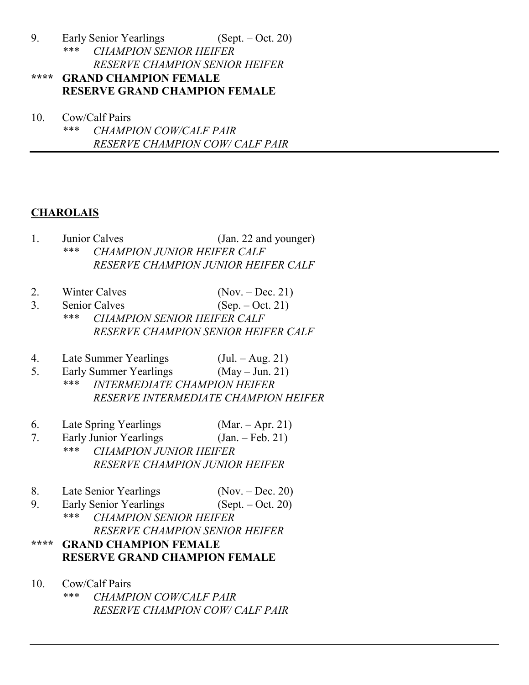9. Early Senior Yearlings (Sept. – Oct. 20)<br>\*\*\* CHAMPION SENIOR HEIEER *\*\*\* CHAMPION SENIOR HEIFER RESERVE CHAMPION SENIOR HEIFER*

## **\*\*\*\* GRAND CHAMPION FEMALE RESERVE GRAND CHAMPION FEMALE**

10. Cow/Calf Pairs *\*\*\* CHAMPION COW/CALF PAIR RESERVE CHAMPION COW/ CALF PAIR*

# **CHAROLAIS**

- 1. Junior Calves (Jan. 22 and younger) *\*\*\* CHAMPION JUNIOR HEIFER CALF RESERVE CHAMPION JUNIOR HEIFER CALF*
- 2. Winter Calves (Nov. Dec. 21)
- 3. Senior Calves (Sep. Oct. 21) *\*\*\* CHAMPION SENIOR HEIFER CALF RESERVE CHAMPION SENIOR HEIFER CALF*
- 4. Late Summer Yearlings (Jul. Aug. 21)
- 5. Early Summer Yearlings (May Jun. 21)<br>\*\*\* INTERMENIATE CHAMPION HEIEED
	- *\*\*\* INTERMEDIATE CHAMPION HEIFER RESERVE INTERMEDIATE CHAMPION HEIFER*
- 6. Late Spring Yearlings (Mar. Apr. 21)
- 7. Early Junior Yearlings (Jan. Feb. 21)<br>\*\*\* CHAMPION IUNIOR HEIEER *\*\*\* CHAMPION JUNIOR HEIFER RESERVE CHAMPION JUNIOR HEIFER*
- 
- 8. Late Senior Yearlings (Nov. Dec. 20)<br>
9. Early Senior Yearlings (Sept. Oct. 20) 9. Early Senior Yearlings
- *\*\*\* CHAMPION SENIOR HEIFER RESERVE CHAMPION SENIOR HEIFER*

# **\*\*\*\* GRAND CHAMPION FEMALE RESERVE GRAND CHAMPION FEMALE**

10. Cow/Calf Pairs *\*\*\* CHAMPION COW/CALF PAIR RESERVE CHAMPION COW/ CALF PAIR*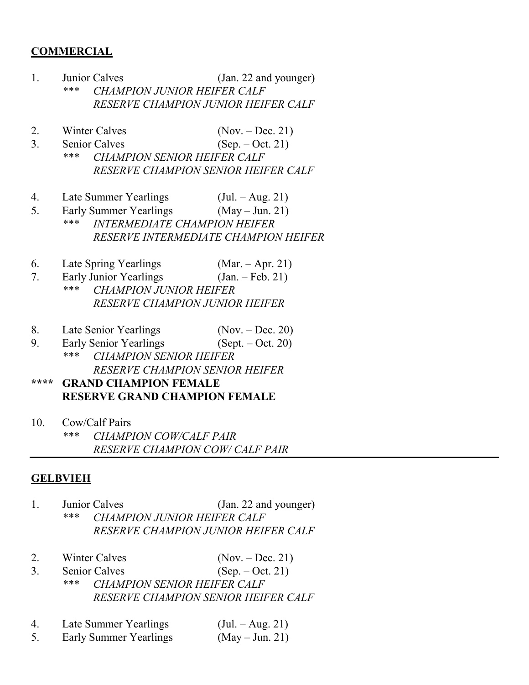#### **COMMERCIAL**

- 1. Junior Calves (Jan. 22 and younger) *\*\*\* CHAMPION JUNIOR HEIFER CALF RESERVE CHAMPION JUNIOR HEIFER CALF*
- 2. Winter Calves (Nov. Dec. 21)
- 3. Senior Calves (Sep. Oct. 21) *\*\*\* CHAMPION SENIOR HEIFER CALF RESERVE CHAMPION SENIOR HEIFER CALF*
- 4. Late Summer Yearlings (Jul. Aug. 21)
- 5. Early Summer Yearlings (May Jun. 21) *\*\*\* INTERMEDIATE CHAMPION HEIFER RESERVE INTERMEDIATE CHAMPION HEIFER*
- 6. Late Spring Yearlings (Mar. Apr. 21)
- 7. Early Junior Yearlings (Jan. Feb. 21)
	- *\*\*\* CHAMPION JUNIOR HEIFER RESERVE CHAMPION JUNIOR HEIFER*
- 8. Late Senior Yearlings (Nov. Dec. 20)
- 9. Early Senior Yearlings (Sept. Oct. 20) *\*\*\* CHAMPION SENIOR HEIFER RESERVE CHAMPION SENIOR HEIFER*
- **\*\*\*\* GRAND CHAMPION FEMALE RESERVE GRAND CHAMPION FEMALE**
- 10. Cow/Calf Pairs

*\*\*\* CHAMPION COW/CALF PAIR RESERVE CHAMPION COW/ CALF PAIR*

#### **GELBVIEH**

- 1. Junior Calves (Jan. 22 and younger) *\*\*\* CHAMPION JUNIOR HEIFER CALF RESERVE CHAMPION JUNIOR HEIFER CALF*
- 2. Winter Calves (Nov. Dec. 21)
- 3. Senior Calves (Sep. Oct. 21) *\*\*\* CHAMPION SENIOR HEIFER CALF RESERVE CHAMPION SENIOR HEIFER CALF*
- 4. Late Summer Yearlings (Jul. Aug. 21)
- 5. Early Summer Yearlings (May Jun. 21)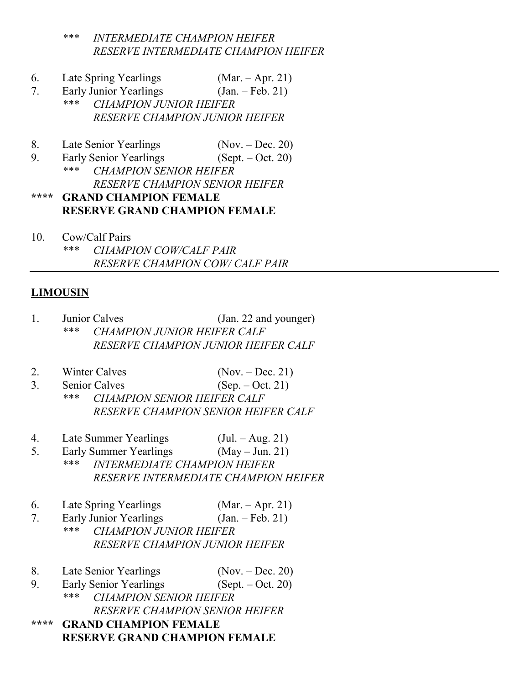*\*\*\* INTERMEDIATE CHAMPION HEIFER RESERVE INTERMEDIATE CHAMPION HEIFER*

- 6. Late Spring Yearlings (Mar. Apr. 21)
- 7. Early Junior Yearlings (Jan. Feb. 21)<br>\*\*\* CHAMPION IUNIOR HEIEER
	- *\*\*\* CHAMPION JUNIOR HEIFER RESERVE CHAMPION JUNIOR HEIFER*
- 8. Late Senior Yearlings (Nov. Dec. 20)
- 9. Early Senior Yearlings (Sept. Oct. 20) *\*\*\* CHAMPION SENIOR HEIFER RESERVE CHAMPION SENIOR HEIFER* **\*\*\*\* GRAND CHAMPION FEMALE**
- **RESERVE GRAND CHAMPION FEMALE**
- 10. Cow/Calf Pairs *\*\*\* CHAMPION COW/CALF PAIR RESERVE CHAMPION COW/ CALF PAIR*

#### **LIMOUSIN**

- 1. Junior Calves (Jan. 22 and younger) *\*\*\* CHAMPION JUNIOR HEIFER CALF RESERVE CHAMPION JUNIOR HEIFER CALF*
- 2. Winter Calves (Nov. Dec. 21)
- 3. Senior Calves (Sep. Oct. 21) *\*\*\* CHAMPION SENIOR HEIFER CALF RESERVE CHAMPION SENIOR HEIFER CALF*
- 4. Late Summer Yearlings (Jul. Aug. 21)
- 5. Early Summer Yearlings (May Jun. 21) *\*\*\* INTERMEDIATE CHAMPION HEIFER RESERVE INTERMEDIATE CHAMPION HEIFER*
- 6. Late Spring Yearlings (Mar. Apr. 21)
- 7. Early Junior Yearlings (Jan. Feb. 21)
	- *\*\*\* CHAMPION JUNIOR HEIFER RESERVE CHAMPION JUNIOR HEIFER*
- 8. Late Senior Yearlings (Nov. Dec. 20)
- 9. Early Senior Yearlings (Sept. Oct. 20)<br>\*\*\* CHAMPION SENIOR HEIEER *\*\*\* CHAMPION SENIOR HEIFER RESERVE CHAMPION SENIOR HEIFER*

**\*\*\*\* GRAND CHAMPION FEMALE RESERVE GRAND CHAMPION FEMALE**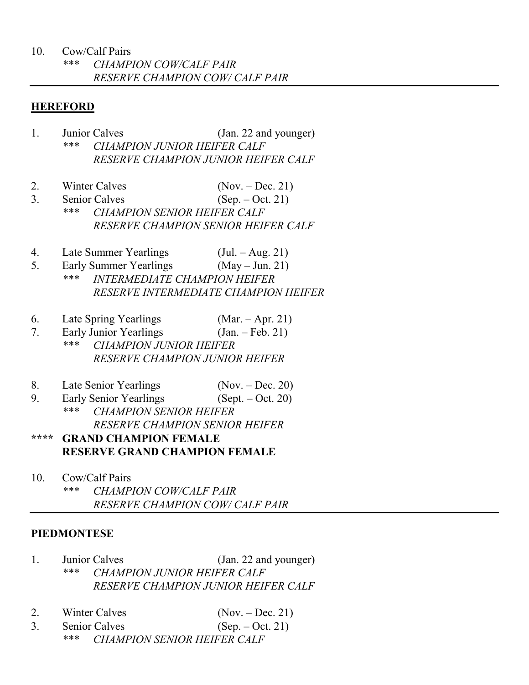#### 10. Cow/Calf Pairs

#### **HEREFORD**

- 1. Junior Calves (Jan. 22 and younger) *\*\*\* CHAMPION JUNIOR HEIFER CALF RESERVE CHAMPION JUNIOR HEIFER CALF*
- 2. Winter Calves (Nov. Dec. 21)
- 3. Senior Calves (Sep. Oct. 21) *\*\*\* CHAMPION SENIOR HEIFER CALF RESERVE CHAMPION SENIOR HEIFER CALF*
- 4. Late Summer Yearlings (Jul. Aug. 21)
- 5. Early Summer Yearlings (May Jun. 21)<br>\*\*\* INTERMEDIATE CHAMPION HEIEER *\*\*\* INTERMEDIATE CHAMPION HEIFER RESERVE INTERMEDIATE CHAMPION HEIFER*
- 6. Late Spring Yearlings (Mar. Apr. 21)
- 7. Early Junior Yearlings (Jan. Feb. 21)<br>\*\*\* CHAMPION HINIOR HEIEER *\*\*\* CHAMPION JUNIOR HEIFER RESERVE CHAMPION JUNIOR HEIFER*
- 8. Late Senior Yearlings (Nov. Dec. 20)
- 9. Early Senior Yearlings (Sept. Oct. 20)<br>\*\*\* CHAMPION SENIOR HEIEER *\*\*\* CHAMPION SENIOR HEIFER RESERVE CHAMPION SENIOR HEIFER*

## **\*\*\*\* GRAND CHAMPION FEMALE RESERVE GRAND CHAMPION FEMALE**

10. Cow/Calf Pairs *\*\*\* CHAMPION COW/CALF PAIR RESERVE CHAMPION COW/ CALF PAIR*

#### **PIEDMONTESE**

- 1. Junior Calves (Jan. 22 and younger) *\*\*\* CHAMPION JUNIOR HEIFER CALF RESERVE CHAMPION JUNIOR HEIFER CALF*
- 2. Winter Calves (Nov. Dec. 21)
- 3. Senior Calves (Sep. Oct. 21) *\*\*\* CHAMPION SENIOR HEIFER CALF*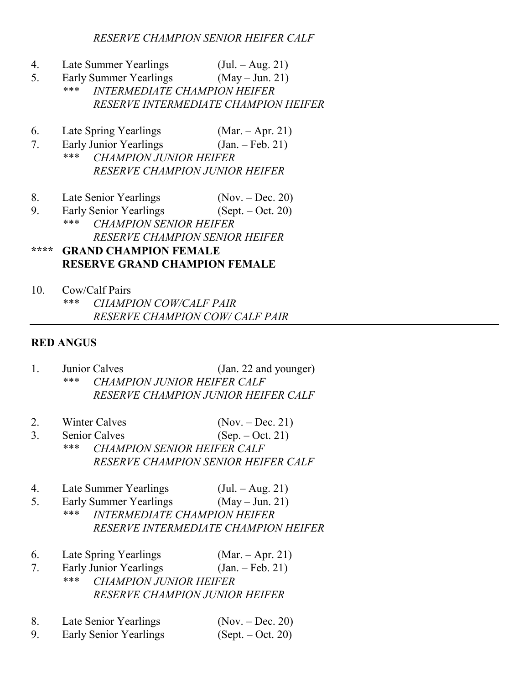*RESERVE CHAMPION SENIOR HEIFER CALF*

- 4. Late Summer Yearlings (Jul. Aug. 21)
- 5. Early Summer Yearlings (May Jun. 21) *\*\*\* INTERMEDIATE CHAMPION HEIFER RESERVE INTERMEDIATE CHAMPION HEIFER*
- 6. Late Spring Yearlings (Mar. Apr. 21)
- 7. Early Junior Yearlings (Jan. Feb. 21)<br>\*\*\* CHAMPION IUNIOR HEIEER
	- *\*\*\* CHAMPION JUNIOR HEIFER RESERVE CHAMPION JUNIOR HEIFER*
- 8. Late Senior Yearlings (Nov. Dec. 20)
- 9. Early Senior Yearlings (Sept. Oct. 20) *\*\*\* CHAMPION SENIOR HEIFER RESERVE CHAMPION SENIOR HEIFER*

### **\*\*\*\* GRAND CHAMPION FEMALE RESERVE GRAND CHAMPION FEMALE**

10. Cow/Calf Pairs *\*\*\* CHAMPION COW/CALF PAIR RESERVE CHAMPION COW/ CALF PAIR*

#### **RED ANGUS**

- 1. Junior Calves (Jan. 22 and younger)<br>\*\*\* CHAMPION HUNIOR HEIEER CALE *\*\*\* CHAMPION JUNIOR HEIFER CALF RESERVE CHAMPION JUNIOR HEIFER CALF*
- 2. Winter Calves (Nov. Dec. 21)
- 3. Senior Calves (Sep. Oct. 21) *\*\*\* CHAMPION SENIOR HEIFER CALF RESERVE CHAMPION SENIOR HEIFER CALF*
- 4. Late Summer Yearlings (Jul. Aug. 21)
- 5. Early Summer Yearlings (May Jun. 21)
- *\*\*\* INTERMEDIATE CHAMPION HEIFER RESERVE INTERMEDIATE CHAMPION HEIFER*
- 6. Late Spring Yearlings (Mar. Apr. 21)
- 7. Early Junior Yearlings (Jan. Feb. 21) *\*\*\* CHAMPION JUNIOR HEIFER RESERVE CHAMPION JUNIOR HEIFER*
- 8. Late Senior Yearlings (Nov. Dec. 20)<br>
9. Early Senior Yearlings (Sept. Oct. 20)
- 9. Early Senior Yearlings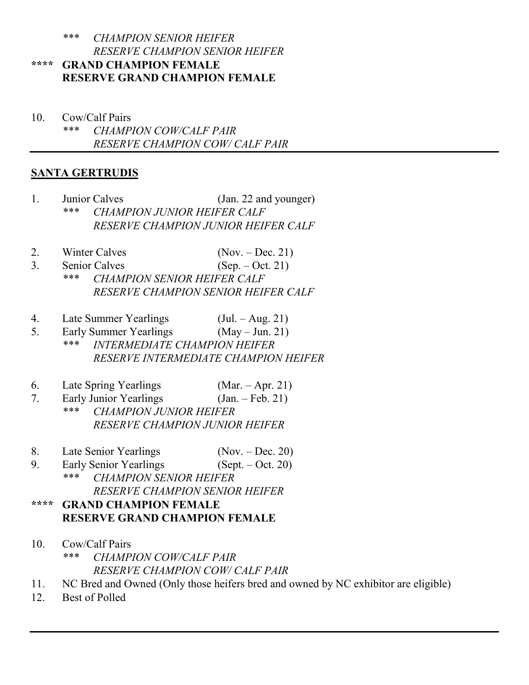#### *\*\*\* CHAMPION SENIOR HEIFER RESERVE CHAMPION SENIOR HEIFER* **\*\*\*\* GRAND CHAMPION FEMALE RESERVE GRAND CHAMPION FEMALE**

10. Cow/Calf Pairs *\*\*\* CHAMPION COW/CALF PAIR RESERVE CHAMPION COW/ CALF PAIR*

## **SANTA GERTRUDIS**

- 1. Junior Calves (Jan. 22 and younger) *\*\*\* CHAMPION JUNIOR HEIFER CALF RESERVE CHAMPION JUNIOR HEIFER CALF*
- 2. Winter Calves (Nov. Dec. 21)
- 3. Senior Calves (Sep. Oct. 21) *\*\*\* CHAMPION SENIOR HEIFER CALF RESERVE CHAMPION SENIOR HEIFER CALF*
- 4. Late Summer Yearlings (Jul. Aug. 21)<br>5. Early Summer Yearlings (May Jun. 21)
- 5. Early Summer Yearlings<br>\*\*\* *INTERMEDIATE \*\*\* INTERMEDIATE CHAMPION HEIFER RESERVE INTERMEDIATE CHAMPION HEIFER*
- 6. Late Spring Yearlings (Mar. Apr. 21)
- 7. Early Junior Yearlings (Jan. Feb. 21)<br>\*\*\* CHAMPION HIMIOP HEIEEP *\*\*\* CHAMPION JUNIOR HEIFER RESERVE CHAMPION JUNIOR HEIFER*
- 8. Late Senior Yearlings (Nov. Dec. 20)
- 9. Early Senior Yearlings (Sept. Oct. 20)<br>\*\*\* CHAMPION SENIOP HEIEEP *\*\*\* CHAMPION SENIOR HEIFER RESERVE CHAMPION SENIOR HEIFER*

## **\*\*\*\* GRAND CHAMPION FEMALE RESERVE GRAND CHAMPION FEMALE**

- 10. Cow/Calf Pairs *\*\*\* CHAMPION COW/CALF PAIR RESERVE CHAMPION COW/ CALF PAIR*
- 11. NC Bred and Owned (Only those heifers bred and owned by NC exhibitor are eligible)
- 12. Best of Polled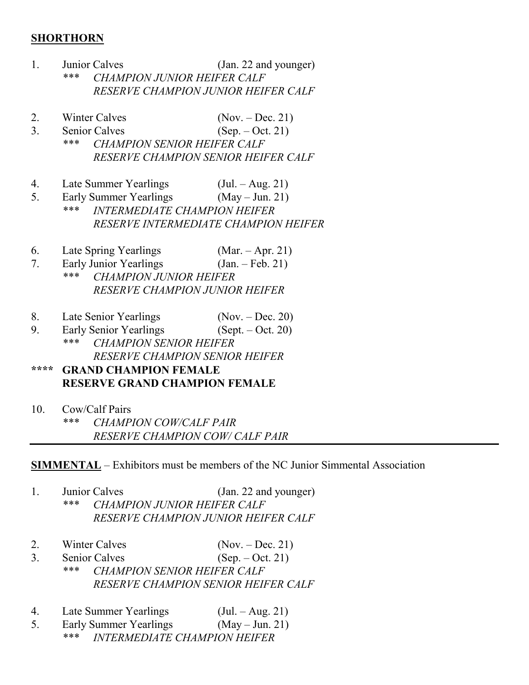#### **SHORTHORN**

- 1. Junior Calves (Jan. 22 and younger) *\*\*\* CHAMPION JUNIOR HEIFER CALF RESERVE CHAMPION JUNIOR HEIFER CALF*
- 2. Winter Calves (Nov. Dec. 21)
- 3. Senior Calves (Sep. Oct. 21)<br>\*\*\* CHAMPION SENIOR HEIEER CALE *\*\*\* CHAMPION SENIOR HEIFER CALF*
	- *RESERVE CHAMPION SENIOR HEIFER CALF*
- 4. Late Summer Yearlings (Jul. Aug. 21)
- 5. Early Summer Yearlings (May Jun. 21) *\*\*\* INTERMEDIATE CHAMPION HEIFER RESERVE INTERMEDIATE CHAMPION HEIFER*
- 6. Late Spring Yearlings (Mar. Apr. 21)
- 7. Early Junior Yearlings (Jan. Feb. 21)
- *\*\*\* CHAMPION JUNIOR HEIFER RESERVE CHAMPION JUNIOR HEIFER*
- 8. Late Senior Yearlings (Nov. Dec. 20)
- 9. Early Senior Yearlings (Sept. Oct. 20) *\*\*\* CHAMPION SENIOR HEIFER RESERVE CHAMPION SENIOR HEIFER*
- **\*\*\*\* GRAND CHAMPION FEMALE RESERVE GRAND CHAMPION FEMALE**
- 10. Cow/Calf Pairs *\*\*\* CHAMPION COW/CALF PAIR RESERVE CHAMPION COW/ CALF PAIR*

**SIMMENTAL** – Exhibitors must be members of the NC Junior Simmental Association

- 1. Junior Calves (Jan. 22 and younger) *\*\*\* CHAMPION JUNIOR HEIFER CALF RESERVE CHAMPION JUNIOR HEIFER CALF*
- 2. Winter Calves (Nov. Dec. 21)
- 3. Senior Calves (Sep. Oct. 21) *\*\*\* CHAMPION SENIOR HEIFER CALF RESERVE CHAMPION SENIOR HEIFER CALF*
- 4. Late Summer Yearlings (Jul. Aug. 21)
- 5. Early Summer Yearlings (May Jun. 21)
	- *\*\*\* INTERMEDIATE CHAMPION HEIFER*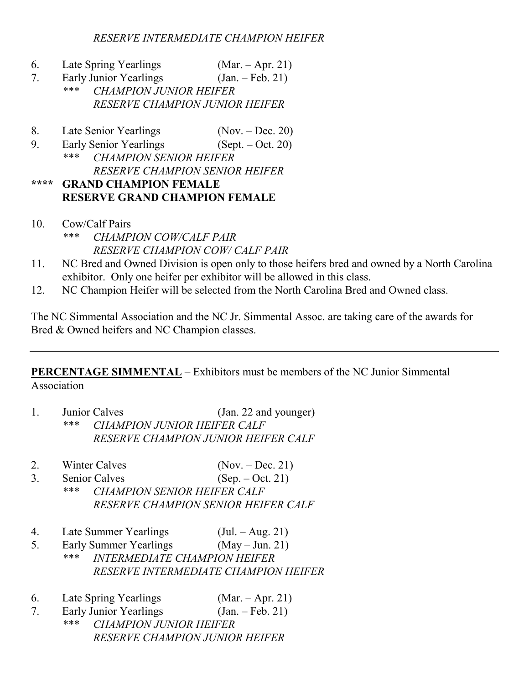- 6. Late Spring Yearlings (Mar. Apr. 21)<br>
7. Early Junior Yearlings (Jan. Feb. 21)
- 7. Early Junior Yearlings
- *\*\*\* CHAMPION JUNIOR HEIFER RESERVE CHAMPION JUNIOR HEIFER*
- 8. Late Senior Yearlings (Nov. Dec. 20)
- 9. Early Senior Yearlings (Sept. Oct. 20)<br>\*\*\* CHAMPION SENIOR HEIEER
- *\*\*\* CHAMPION SENIOR HEIFER RESERVE CHAMPION SENIOR HEIFER*
- **\*\*\*\* GRAND CHAMPION FEMALE RESERVE GRAND CHAMPION FEMALE**
- 10. Cow/Calf Pairs *\*\*\* CHAMPION COW/CALF PAIR RESERVE CHAMPION COW/ CALF PAIR*
- 11. NC Bred and Owned Division is open only to those heifers bred and owned by a North Carolina exhibitor. Only one heifer per exhibitor will be allowed in this class.
- 12. NC Champion Heifer will be selected from the North Carolina Bred and Owned class.

The NC Simmental Association and the NC Jr. Simmental Assoc. are taking care of the awards for Bred & Owned heifers and NC Champion classes.

**PERCENTAGE SIMMENTAL** – Exhibitors must be members of the NC Junior Simmental Association

- 1. Junior Calves (Jan. 22 and younger) *\*\*\* CHAMPION JUNIOR HEIFER CALF RESERVE CHAMPION JUNIOR HEIFER CALF*
- 2. Winter Calves (Nov. Dec. 21)
- 3. Senior Calves (Sep. Oct. 21) *\*\*\* CHAMPION SENIOR HEIFER CALF RESERVE CHAMPION SENIOR HEIFER CALF*
- 4. Late Summer Yearlings (Jul. Aug. 21)
- 5. Early Summer Yearlings  $(May Jun. 21)$ <br>\*\*\* INTERMEDIATE CHAMPION HEIEER *\*\*\* INTERMEDIATE CHAMPION HEIFER RESERVE INTERMEDIATE CHAMPION HEIFER*
- 6. Late Spring Yearlings (Mar. Apr. 21)
- 7. Early Junior Yearlings (Jan. Feb. 21) *\*\*\* CHAMPION JUNIOR HEIFER RESERVE CHAMPION JUNIOR HEIFER*